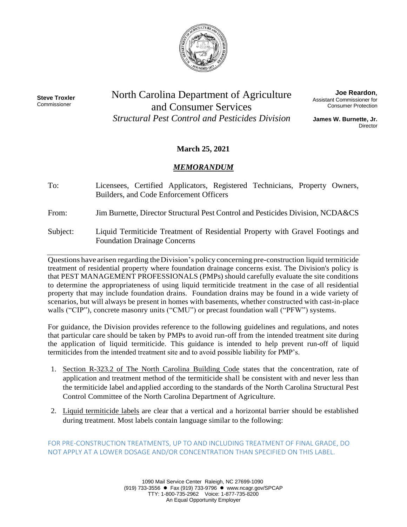

**Steve Troxler** Commissioner

North Carolina Department of Agriculture and Consumer Services *Structural Pest Control and Pesticides Division*

**Joe Reardon**, Assistant Commissioner for Consumer Protection

**James W. Burnette, Jr. Director** 

# **March 25, 2021**

## *MEMORANDUM*

To: Licensees, Certified Applicators, Registered Technicians, Property Owners, Builders, and Code Enforcement Officers

From: Jim Burnette, Director Structural Pest Control and Pesticides Division, NCDA&CS

Subject: Liquid Termiticide Treatment of Residential Property with Gravel Footings and Foundation Drainage Concerns

Questions have arisen regarding theDivision's policy concerning pre-construction liquid termiticide treatment of residential property where foundation drainage concerns exist. The Division's policy is that PEST MANAGEMENT PROFESSIONALS (PMPs) should carefully evaluate the site conditions to determine the appropriateness of using liquid termiticide treatment in the case of all residential property that may include foundation drains. Foundation drains may be found in a wide variety of scenarios, but will always be present in homes with basements, whether constructed with cast-in-place walls ("CIP"), concrete masonry units ("CMU") or precast foundation wall ("PFW") systems.

For guidance, the Division provides reference to the following guidelines and regulations, and notes that particular care should be taken by PMPs to avoid run-off from the intended treatment site during the application of liquid termiticide. This guidance is intended to help prevent run-off of liquid termiticides from the intended treatment site and to avoid possible liability for PMP's.

- 1. Section R-323.2 of The North Carolina Building Code states that the concentration, rate of application and treatment method of the termiticide shall be consistent with and never less than the termiticide label and applied according to the standards of the North Carolina Structural Pest Control Committee of the North Carolina Department of Agriculture.
- 2. Liquid termiticide labels are clear that a vertical and a horizontal barrier should be established during treatment. Most labels contain language similar to the following:

FOR PRE-CONSTRUCTION TREATMENTS, UP TO AND INCLUDING TREATMENT OF FINAL GRADE, DO NOT APPLY AT A LOWER DOSAGE AND/OR CONCENTRATION THAN SPECIFIED ON THIS LABEL.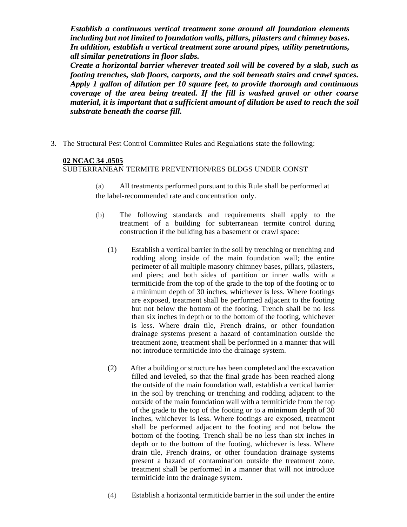*Establish a continuous vertical treatment zone around all foundation elements including but not limited to foundation walls, pillars, pilasters and chimney bases. In addition, establish a vertical treatment zone around pipes, utility penetrations, all similar penetrations in floor slabs.*

*Create a horizontal barrier wherever treated soil will be covered by a slab, such as footing trenches, slab floors, carports, and the soil beneath stairs and crawl spaces. Apply 1 gallon of dilution per 10 square feet, to provide thorough and continuous coverage of the area being treated. If the fill is washed gravel or other coarse material, it is important that a sufficient amount of dilution be used to reach the soil substrate beneath the coarse fill.*

3. The Structural Pest Control Committee Rules and Regulations state the following:

## **02 NCAC 34 .0505**

SUBTERRANEAN TERMITE PREVENTION/RES BLDGS UNDER CONST

(a) All treatments performed pursuant to this Rule shall be performed at the label-recommended rate and concentration only.

- (b) The following standards and requirements shall apply to the treatment of a building for subterranean termite control during construction if the building has a basement or crawl space:
	- (1) Establish a vertical barrier in the soil by trenching or trenching and rodding along inside of the main foundation wall; the entire perimeter of all multiple masonry chimney bases, pillars, pilasters, and piers; and both sides of partition or inner walls with a termiticide from the top of the grade to the top of the footing or to a minimum depth of 30 inches, whichever is less. Where footings are exposed, treatment shall be performed adjacent to the footing but not below the bottom of the footing. Trench shall be no less than six inches in depth or to the bottom of the footing, whichever is less. Where drain tile, French drains, or other foundation drainage systems present a hazard of contamination outside the treatment zone, treatment shall be performed in a manner that will not introduce termiticide into the drainage system.
	- (2) After a building or structure has been completed and the excavation filled and leveled, so that the final grade has been reached along the outside of the main foundation wall, establish a vertical barrier in the soil by trenching or trenching and rodding adjacent to the outside of the main foundation wall with a termiticide from the top of the grade to the top of the footing or to a minimum depth of 30 inches, whichever is less. Where footings are exposed, treatment shall be performed adjacent to the footing and not below the bottom of the footing. Trench shall be no less than six inches in depth or to the bottom of the footing, whichever is less. Where drain tile, French drains, or other foundation drainage systems present a hazard of contamination outside the treatment zone, treatment shall be performed in a manner that will not introduce termiticide into the drainage system.
	- (4) Establish a horizontal termiticide barrier in the soil under the entire